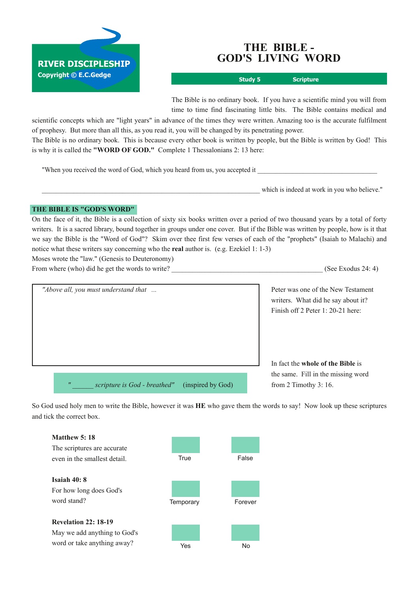

# **THE BIBLE GOD'S LIVING WORD**

**Study 5 Scripture**

The Bible is no ordinary book. If you have a scientific mind you will from time to time find fascinating little bits. The Bible contains medical and

scientific concepts which are "light years" in advance of the times they were written. Amazing too is the accurate fulfilment of prophesy. But more than all this, as you read it, you will be changed by its penetrating power. The Bible is no ordinary book. This is because every other book is written by people, but the Bible is written by God! This

is why it is called the **"WORD OF GOD."** Complete 1 Thessalonians 2: 13 here:

"When you received the word of God, which you heard from us, you accepted it

which is indeed at work in you who believe."

### **THE BIBLE IS "GOD'S WORD"**

On the face of it, the Bible is a collection of sixty six books written over a period of two thousand years by a total of forty writers. It is a sacred library, bound together in groups under one cover. But if the Bible was written by people, how is it that we say the Bible is the "Word of God"? Skim over thee first few verses of each of the "prophets" (Isaiah to Malachi) and notice what these writers say concerning who the **real** author is. (e.g. Ezekiel 1: 13)

Moses wrote the "law." (Genesis to Deuteronomy)

From where (who) did he get the words to write? (See Exodus 24: 4)

| "Above all, you must understand that                                   | Peter was one of the New Testament<br>writers. What did he say about it?<br>Finish off 2 Peter 1: 20-21 here: |
|------------------------------------------------------------------------|---------------------------------------------------------------------------------------------------------------|
|                                                                        |                                                                                                               |
|                                                                        | In fact the whole of the Bible is<br>the same. Fill in the missing word                                       |
| $^{\prime\prime}$<br>scripture is God - breathed"<br>(inspired by God) | from 2 Timothy $3:16$ .                                                                                       |

So God used holy men to write the Bible, however it was **HE** who gave them the words to say! Now look up these scriptures and tick the correct box.